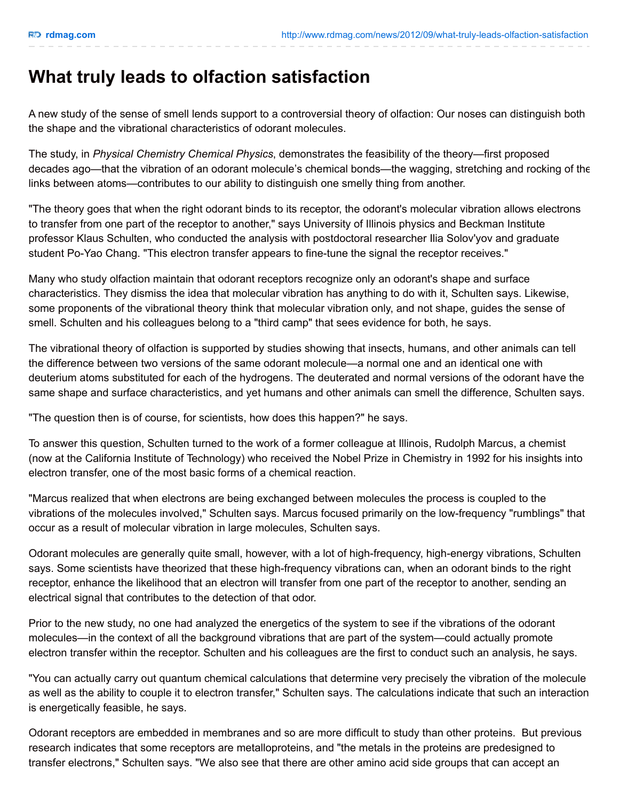## **What truly leads to olfaction satisfaction**

A new study of the sense of smell lends support to a controversial theory of olfaction: Our noses can distinguish both the shape and the vibrational characteristics of odorant molecules.

The study, in *Physical Chemistry Chemical Physics*, demonstrates the feasibility of the theory—first proposed decades ago—that the vibration of an odorant molecule's chemical bonds—the wagging, stretching and rocking of the links between atoms—contributes to our ability to distinguish one smelly thing from another.

"The theory goes that when the right odorant binds to its receptor, the odorant's molecular vibration allows electrons to transfer from one part of the receptor to another," says University of Illinois physics and Beckman Institute professor Klaus Schulten, who conducted the analysis with postdoctoral researcher Ilia Solov'yov and graduate student Po-Yao Chang. "This electron transfer appears to fine-tune the signal the receptor receives."

Many who study olfaction maintain that odorant receptors recognize only an odorant's shape and surface characteristics. They dismiss the idea that molecular vibration has anything to do with it, Schulten says. Likewise, some proponents of the vibrational theory think that molecular vibration only, and not shape, guides the sense of smell. Schulten and his colleagues belong to a "third camp" that sees evidence for both, he says.

The vibrational theory of olfaction is supported by studies showing that insects, humans, and other animals can tell the difference between two versions of the same odorant molecule—a normal one and an identical one with deuterium atoms substituted for each of the hydrogens. The deuterated and normal versions of the odorant have the same shape and surface characteristics, and yet humans and other animals can smell the difference, Schulten says.

"The question then is of course, for scientists, how does this happen?" he says.

To answer this question, Schulten turned to the work of a former colleague at Illinois, Rudolph Marcus, a chemist (now at the California Institute of Technology) who received the Nobel Prize in Chemistry in 1992 for his insights into electron transfer, one of the most basic forms of a chemical reaction.

"Marcus realized that when electrons are being exchanged between molecules the process is coupled to the vibrations of the molecules involved," Schulten says. Marcus focused primarily on the low-frequency "rumblings" that occur as a result of molecular vibration in large molecules, Schulten says.

Odorant molecules are generally quite small, however, with a lot of high-frequency, high-energy vibrations, Schulten says. Some scientists have theorized that these high-frequency vibrations can, when an odorant binds to the right receptor, enhance the likelihood that an electron will transfer from one part of the receptor to another, sending an electrical signal that contributes to the detection of that odor.

Prior to the new study, no one had analyzed the energetics of the system to see if the vibrations of the odorant molecules—in the context of all the background vibrations that are part of the system—could actually promote electron transfer within the receptor. Schulten and his colleagues are the first to conduct such an analysis, he says.

"You can actually carry out quantum chemical calculations that determine very precisely the vibration of the molecule as well as the ability to couple it to electron transfer," Schulten says. The calculations indicate that such an interaction is energetically feasible, he says.

Odorant receptors are embedded in membranes and so are more difficult to study than other proteins. But previous research indicates that some receptors are metalloproteins, and "the metals in the proteins are predesigned to transfer electrons," Schulten says. "We also see that there are other amino acid side groups that can accept an